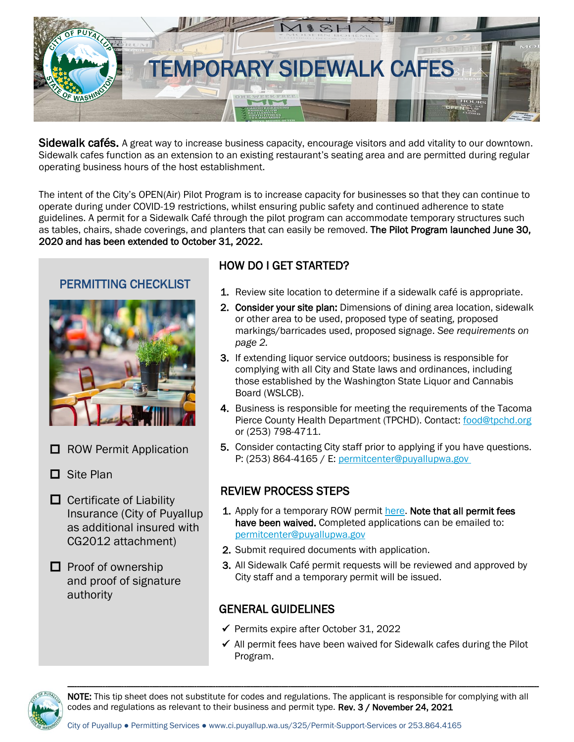

Sidewalk cafés. A great way to increase business capacity, encourage visitors and add vitality to our downtown. Sidewalk cafes function as an extension to an existing restaurant's seating area and are permitted during regular operating business hours of the host establishment.

The intent of the City's OPEN(Air) Pilot Program is to increase capacity for businesses so that they can continue to operate during under COVID-19 restrictions, whilst ensuring public safety and continued adherence to state guidelines. A permit for a Sidewalk Café through the pilot program can accommodate temporary structures such as tables, chairs, shade coverings, and planters that can easily be removed. The Pilot Program launched June 30, 2020 and has been extended to October 31, 2022.

## PERMITTING CHECKLIST



- $\Box$  ROW Permit Application
- □ Site Plan
- $\Box$  Certificate of Liability Insurance (City of Puyallup as additional insured with CG2012 attachment)

 $\Box$  Proof of ownership and proof of signature authority

# HOW DO I GET STARTED?

- 1. Review site location to determine if a sidewalk café is appropriate.
- 2. Consider your site plan: Dimensions of dining area location, sidewalk or other area to be used, proposed type of seating, proposed markings/barricades used, proposed signage. *See requirements on page 2.*
- 3. If extending liquor service outdoors; business is responsible for complying with all City and State laws and ordinances, including those established by the Washington State Liquor and Cannabis Board (WSLCB).
- 4. Business is responsible for meeting the requirements of the Tacoma Pierce County Health Department (TPCHD). Contact: [food@tpchd.org](mailto:food@tpchd.org) or (253) 798-4711.
- 5. Consider contacting City staff prior to applying if you have questions. P: (253) 864-4165 / E: [permitcenter@puyallupwa.gov](mailto:permitcenter@ci.puyallup.wa.us)

# REVIEW PROCESS STEPS

- 1. Apply for a temporary ROW permi[t here.](https://www.cityofpuyallup.org/DocumentCenter/View/1407/Right-of-Way-Permit-PDF-?bidId=) Note that all permit fees have been waived. Completed applications can be emailed to: [permitcenter@puyallupwa.gov](mailto:permitcenter@puyallupwa.gov)
- 2. Submit required documents with application.
- 3. All Sidewalk Café permit requests will be reviewed and approved by City staff and a temporary permit will be issued.

### GENERAL GUIDELINES

- ✓ Permits expire after October 31, 2022
- ✓ All permit fees have been waived for Sidewalk cafes during the Pilot Program.



NOTE: This tip sheet does not substitute for codes and regulations. The applicant is responsible for complying with all codes and regulations as relevant to their business and permit type. Rev. 3 / November 24, 2021

---------------------------------------------------------------------------------------------------------------------------------------------------------------------------------------------------------